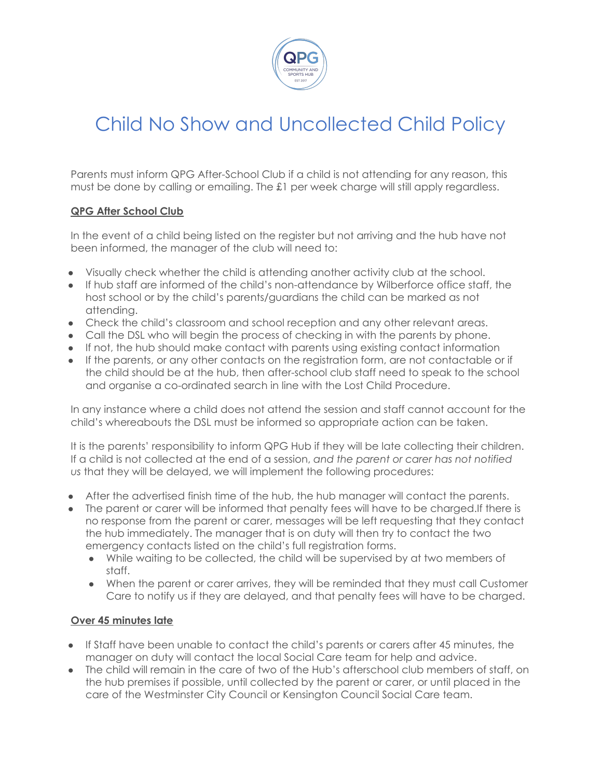

# Child No Show and Uncollected Child Policy

Parents must inform QPG After-School Club if a child is not attending for any reason, this must be done by calling or emailing. The £1 per week charge will still apply regardless.

### **QPG After School Club**

In the event of a child being listed on the register but not arriving and the hub have not been informed, the manager of the club will need to:

- Visually check whether the child is attending another activity club at the school.
- If hub staff are informed of the child's non-attendance by Wilberforce office staff, the host school or by the child's parents/guardians the child can be marked as not attending.
- Check the child's classroom and school reception and any other relevant areas.
- Call the DSL who will begin the process of checking in with the parents by phone.
- If not, the hub should make contact with parents using existing contact information
- If the parents, or any other contacts on the registration form, are not contactable or if the child should be at the hub, then after-school club staff need to speak to the school and organise a co-ordinated search in line with the Lost Child Procedure.

In any instance where a child does not attend the session and staff cannot account for the child's whereabouts the DSL must be informed so appropriate action can be taken.

It is the parents' responsibility to inform QPG Hub if they will be late collecting their children. If a child is not collected at the end of a session, *and the parent or carer has not notified us* that they will be delayed, we will implement the following procedures:

- After the advertised finish time of the hub, the hub manager will contact the parents.
- The parent or carer will be informed that penalty fees will have to be charged. If there is no response from the parent or carer, messages will be left requesting that they contact the hub immediately. The manager that is on duty will then try to contact the two emergency contacts listed on the child's full registration forms.
	- While waiting to be collected, the child will be supervised by at two members of staff.
	- When the parent or carer arrives, they will be reminded that they must call Customer Care to notify us if they are delayed, and that penalty fees will have to be charged.

## **Over 45 minutes late**

- If Staff have been unable to contact the child's parents or carers after 45 minutes, the manager on duty will contact the local Social Care team for help and advice.
- The child will remain in the care of two of the Hub's afterschool club members of staff, on the hub premises if possible, until collected by the parent or carer, or until placed in the care of the Westminster City Council or Kensington Council Social Care team.